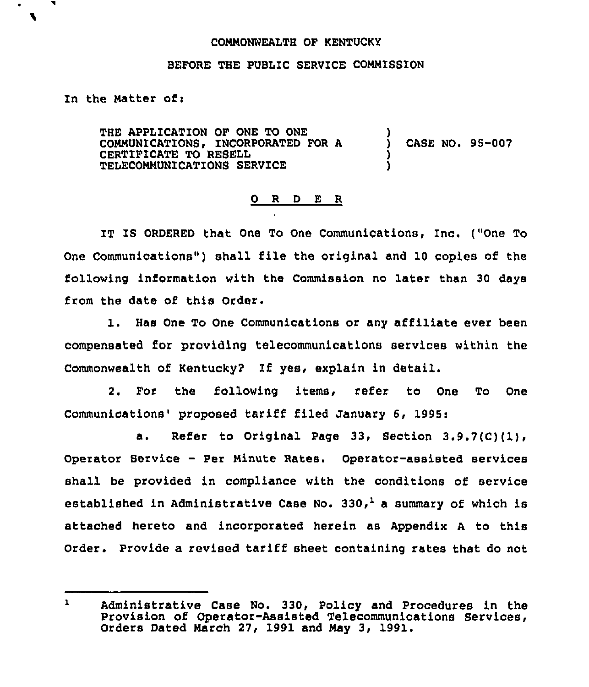## COMMONWEALTH OF KENTUCKY

## BEFORE THE PUBLIC SERVICE COMMISSION

## In the Matter ofi

 $\bullet$ 

THE APPLICATION OF ONE TO ONE COMMUNICATIONS, INCORPORATED FOR A CERTIFICATE TO RESELL TELECOMMUNICATIONS SERVICE ) ) CASE NO. 95-007 ) )

# 0 R <sup>D</sup> E R

IT IS ORDERED that One To One Communications, Inc. ("One To One Communications") shall file the original and 10 copies of the following information with the Commission no later than 30 days from the date of this Order.

l. Has One To One Communications or any affiliate ever been compensated for providing telecommunications services within the Commonwealth of Kentucky? If yes, explain in detail.

2. For the following items, refer to One To One Communications' proposed tariff filed January 6, 1995:

a. Refer to Original Page 33, Section 3.9.7(C)(1), Operator Service — Per Minute Rates. Operator-assisted services shall be provided in compliance with the conditions of service established in Administrative Case No. 330,<sup>1</sup> a summary of which is attached hereto and incorporated herein as Appendix <sup>A</sup> to this Order. Provide a revised tariff sheet containing rates that do not

 $\mathbf{1}$ Administrative Case No. 330, Policy and Procedures in the Provision of Operator-Assisted Telecommunications Services, Orders Dated March 27, 1991 and May 3, 1991.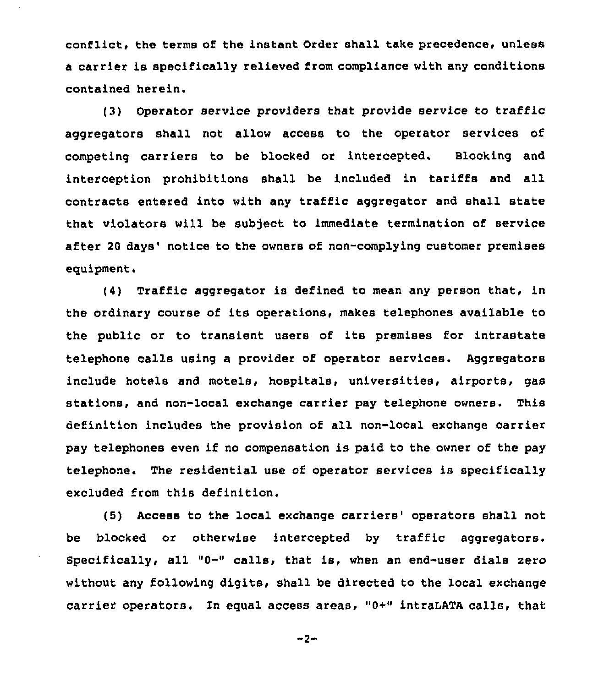conflict, the terms of the instant Order shall take precedence, unless a carrier is specifically relieved from compliance with any conditions contained herein.

(3) Operator service providers that provide service to traffic aggregators shall not allow access to the operator services of competing carriers to be blocked or intercepted. alocking and interception prohibitions shall be included in tariffs and all contracts entered into with any traffic aggregator and shall state that violators will be subject to immediate termination of service after 20 days' notice to the owners of non-complying customer premises equipment.

 $(4)$  Traffic aggregator is defined to mean any person that, in the ordinary course of its operations, makes telephones available to the public or to transient users of its premises for intrastate telephone calls using a provider of operator services. Aggregators include hotels and motels, hospitals, universities, airports, gas stations, and non-local exchange carrier pay telephone owners. This definition includes the provision of all non-local exchange carrier pay telephones even if no compensation is paid to the owner of the pay telephone. The residential use of operator services is specifically excluded from this definition.

(5) Access to the local exchange carriers' operators shall not be blocked or otherwise intercepted by traffic aggregators. Specifically, all "0-" calls, that is, when an end-user dials zero without any following digits, shall be directed to the local exchange carrier operators. In equal access areas, " $0+$ " intraLATA calls, that

 $-2-$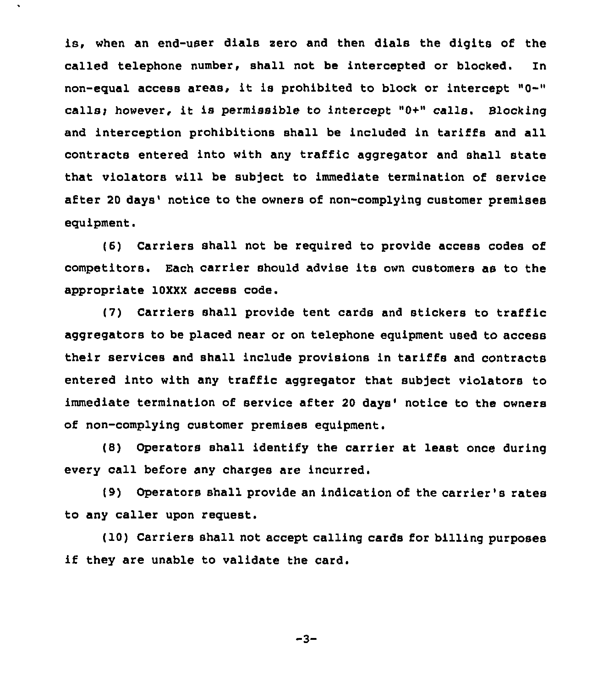is, when an end-user dials sero and then dials the digits of the called telephone number, shall not be intercepted or blocked. In non-equal access areas, it is prohibited to block or intercept "0-" calls; however, it is permissible to intercept "0+" calls. Blocking and interception prohibitions shall be included in tariffs and all contracts entered into with any traffic aggregator and shall state that violators will be subject to immediate termination of service after 20 days' notice to the owners of non-complying customer premises equipment.

(6) Carriers shall not be required to provide access codes of competitors. Each carrier should advise its own customers as to the appropriate 10XXX access code.

(7) Carriers shall provide tent cards and stickers to traffic aggregators to be placed near or on telephone equipment used to access their services and shall include provisions in tariffs and contracts entered into with any traffic aggregator that subject violators to immediate termination of service after 20 days' notice to the owners of non-complying customer premises equipment.

(8) Operators shall identify the carrier at least once during every call before any charges are incurred.

(9) Operators shall provide an indication of the carrier's rates to any caller upon request.

(10) Carriers shall not accept calling cards for billing purposes if they are unable to validate the card.

 $-3-$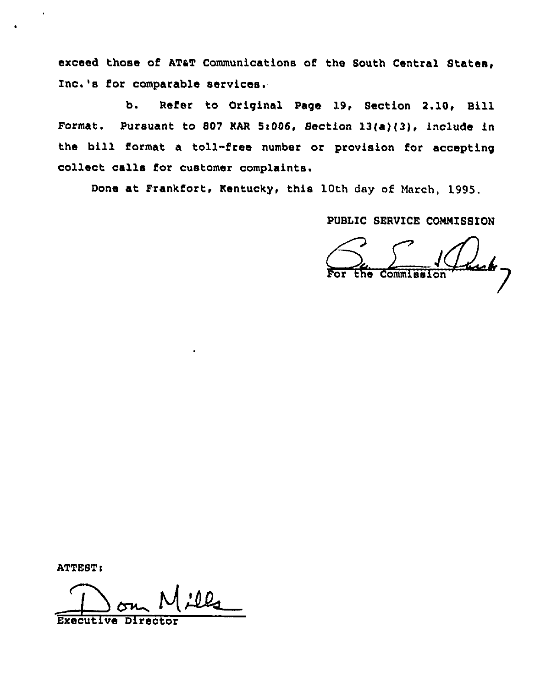exceed those of ATaT Communications of the South Central States, Inc.'s for comparable services.

b. Refer to Original Page 19, Section 2.10, Bill Format. Pursuant to 807 KAR 5:006, Section 13(a)(3), include in the bill format a toll-free number or provision for accepting collect calls for customer complaints.

Done at Frankfort, Kentucky, this 10th day of March, 1995,

PUBLIC SERVICE COMMISSION

For the Commission

ATTEST:

lls ᆜ Executive Director